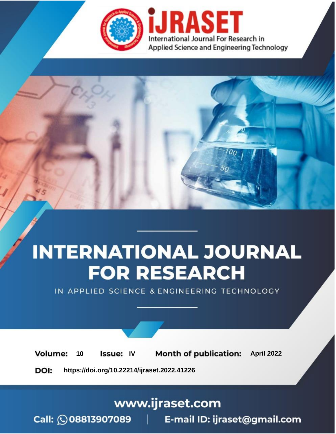

# **INTERNATIONAL JOURNAL FOR RESEARCH**

IN APPLIED SCIENCE & ENGINEERING TECHNOLOGY

Volume: 10 **Issue: IV Month of publication:** April 2022

**https://doi.org/10.22214/ijraset.2022.41226**DOI:

www.ijraset.com

Call: 008813907089 | E-mail ID: ijraset@gmail.com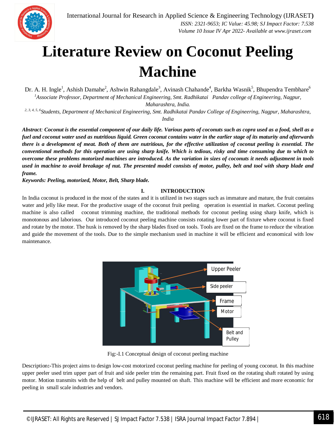

### **Literature Review on Coconut Peeling Machine**

Dr. A. H. Ingle<sup>1</sup>, Ashish Damahe<sup>2</sup>, Ashwin Rahangdale<sup>3</sup>, Avinash Chahande<sup>4</sup>, Barkha Wasnik<sup>5</sup>, Bhupendra Tembhare<sup>6</sup> *<sup>1</sup>Associate Professor, Department of Mechanical Engineering, Smt. Radhikatai Pandav college of Engineering, Nagpur, Maharashtra, India.*

<sup>2, 3, 4, 5, 6</sup>Students, Department of Mechanical Engineering, Smt. Radhikatai Pandav College of Engineering, Nagpur, Maharashtra, *India*

*Abstract: Coconut is the essential component of our daily life. Various parts of coconuts such as copra used as a food, shell as a fuel and coconut water used as nutritious liquid. Green coconut contains water in the earlier stage of its maturity and afterwards there is a development of meat. Both of them are nutritious, for the effective utilization of coconut peeling is essential. The conventional methods for this operation are using sharp knife. Which is tedious, risky and time consuming due to which to overcome these problems motorized machines are introduced. As the variation in sizes of coconuts it needs adjustment in tools used in machine to avoid breakage of nut. The presented model consists of motor, pulley, belt and tool with sharp blade and frame.*

*Keywords: Peeling, motorized, Motor, Belt, Sharp blade.*

#### **I. INTRODUCTION**

In India coconut is produced in the most of the states and it is utilized in two stages such as immature and mature, the fruit contains water and jelly like meat. For the productive usage of the coconut fruit peeling operation is essential in market. Coconut peeling machine is also called coconut trimming machine, the traditional methods for coconut peeling using sharp knife, which is monotonous and laborious. Our introduced coconut peeling machine consists rotating lower part of fixture where coconut is fixed and rotate by the motor. The husk is removed by the sharp blades fixed on tools. Tools are fixed on the frame to reduce the vibration and guide the movement of the tools. Due to the simple mechanism used in machine it will be efficient and economical with low maintenance.



Fig:-I.1 Conceptual design of coconut peeling machine

Description**:-**This project aims to design low-cost motorized coconut peeling machine for peeling of young coconut. In this machine upper peeler used trim upper part of fruit and side peeler trim the remaining part. Fruit fixed on the rotating shaft rotated by using motor. Motion transmits with the help of belt and pulley mounted on shaft. This machine will be efficient and more economic for peeling in small scale industries and vendors.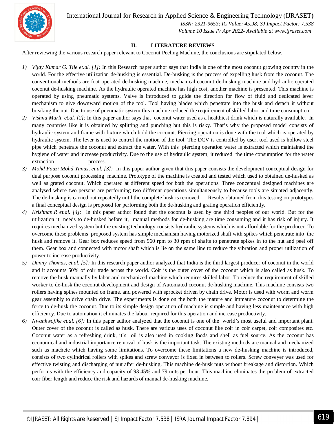

 *ISSN: 2321-9653; IC Value: 45.98; SJ Impact Factor: 7.538 Volume 10 Issue IV Apr 2022- Available at www.ijraset.com*

#### **II. LITERATURE REVIEWS**

After reviewing the various research paper relevant to Coconut Peeling Machine, the conclusions are stipulated below.

- *1) Vijay Kumar G. Tile et.al. [1]:* In this Research paper author says that India is one of the most coconut growing country in the world. For the effective utilization de-husking is essential. De-husking is the process of expelling husk from the coconut. The conventional methods are foot operated de-husking machine, mechanical coconut de-husking machine and hydraulic operated coconut de-husking machine. As the hydraulic operated machine has high cost, another machine is presented. This machine is operated by using pneumatic systems. Valve is introduced to guide the direction for flow of fluid and dedicated lever mechanism to give downward motion of the tool. Tool having blades which penetrate into the husk and detach it without breaking the nut. Due to use of pneumatic system this machine reduced the requirement of skilled labor and time consumption
- *2) Vishnu Murli, et.al. [2]:* In this paper author says that coconut water used as a healthiest drink which is naturally available. In many countries like it is obtained by splitting and punching but this is risky. That's why the proposed model consists of hydraulic system and frame with fixture which hold the coconut. Piercing operation is done with the tool which is operated by hydraulic system. The lever is used to control the motion of the tool. The DCV is controlled by user, tool used is hollow steel pipe which penetrate the coconut and extract the water. With this piercing operation water is extracted which maintained the hygiene of water and increase productivity. Due to the use of hydraulic system, it reduced the time consumption for the water extraction process.
- *3) Mohd Fauzi Mohd Yunus, et.al. [3]:*In this paper author given that this paper consists the development conceptual design for dual purpose coconut processing machine. Prototype of the machine is created and tested which used to obtained de-husked as well as grated coconut. Which operated at different speed for both the operations. Three conceptual designed machines are analysed where two persons are performing two different operations simultaneously to because tools are situated adjacently. The de-husking is carried out repeatedly until the complete husk is removed. Results obtained from this testing on prototypes a final conceptual design is proposed for performing both the de-husking and grating operation efficiently.
- *4) Krishnan.R et.al. [4]:* In this paper author found that the coconut is used by one third peoples of our world. But for the utilization it needs to de-husked before it, manual methods for de-husking are time consuming and it has risk of injury. It requires mechanized system but the existing technology consists hydraulic systems which is not affordable for the producer. To overcome these problems proposed system has simple mechanism having motorized shaft with spikes which penetrate into the husk and remove it. Gear box reduces speed from 960 rpm to 30 rpm of shafts to penetrate spikes in to the nut and peel off them. Gear box and connected with motor shaft which is lie on the same line to reduce the vibration and proper utilization of power to increase productivity.
- *5) Danny Thomas, et.al. [5]:* In this research paper author analyzed that India is the third largest producer of coconut in the world and it accounts 50% of coir trade across the world. Coir is the outer cover of the coconut which is also called as husk. To remove the husk manually by labor and mechanized machine which requires skilled labor. To reduce the requirement of skilled worker to de-husk the coconut development and design of Automated coconut de-husking machine. This machine consists two rollers having spines mounted on frame, and powered with sprocket driven by chain drive. Motor is used with worm and worm gear assembly to drive chain drive. The experiments is done on the both the mature and immature coconut to determine the force to de-husk the coconut. Due to its simple design operation of machine is simple and having less maintenance with high efficiency. Due to automation it eliminates the labour required for this operation and increase productivity.
- *6) Nwankwojike et.al. [6]:* In this paper author analyzed that the coconut is one of the world's most useful and important plant. Outer cover of the coconut is called as husk. There are various uses of coconut like coir in coir carpet, coir composites etc. Coconut water as a refreshing drink, it`s oil is also used in cooking foods and shell as fuel source. As the coconut has economical and industrial importance removal of husk is the important task. The existing methods are manual and mechanized such as machete which having some limitations. To overcome these limitations a new de-husking machine is introduced, consists of two cylindrical rollers with spikes and screw conveyor is fixed in between to rollers. Screw conveyer was used for effective twisting and discharging of nut after de-husking. This machine de-husk nuts without breakage and distortion. Which performs with the efficiency and capacity of 93.45% and 79 nuts per hour. This machine eliminates the problem of extracted coir fiber length and reduce the risk and hazards of manual de-husking machine.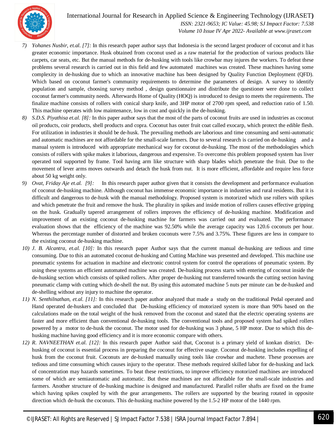

 *ISSN: 2321-9653; IC Value: 45.98; SJ Impact Factor: 7.538 Volume 10 Issue IV Apr 2022- Available at www.ijraset.com*

- *7) Yohanes Nusbir, et.al. [7]:* In this research paper author says that Indonesia is the second largest producer of coconut and it has greater economic importance. Husk obtained from coconut used as a raw material for the production of various products like carpets, car seats, etc. But the manual methods for de-husking with tools like crowbar may injures the workers. To defeat these problems several research is carried out in this field and few automated machines was created. These machines having some complexity in de-husking due to which an innovative machine has been designed by Quality Function Deployment (QFD). Which based on coconut farmer's community requirements to determine the parameters of design. A survey to identify population and sample, choosing survey method , design questionnaire and distribute the questioner were done to collect coconut farmer's community needs. Afterwards Home of Quality (HOQ) is introduced to design to meets the requirements. The finalize machine consists of rollers with conical sharp knife, and 3HP motor of 2700 rpm speed, and reduction ratio of 1.50. This machine operates with low maintenance, low in cost and quickly in the de-husking.
- *8) S.D.S. Piyathisa et.al. [8]:* In this paper author says that the most of the parts of coconut fruits are used in industries as coconut oil products, coir products, shell products and copra. Coconut has outer fruit coat called exocarp, which protect the edible flesh. For utilization in industries it should be de-husk. The prevailing methods are laborious and time consuming and semi-automatic and automatic machines are not affordable for the small-scale farmers. Due to several research is carried on de-husking and a manual system is introduced with appropriate mechanical way for coconut de-husking. The most of the methodologies which consists of rollers with spike makes it laborious, dangerous and expensive. To overcome this problem proposed system has liver operated tool supported by frame. Tool having arm like structure with sharp blades which penetrate the fruit. Due to the movement of lever arms moves outwards and detach the husk from nut. It is more efficient, affordable and require less force about 50 kg weight only.
- *9) Ovat, Friday Aje et.al. [9]:*In this research paper author given that it consists the development and performance evaluation of coconut de-husking machine. Although coconut has immense economic importance in industries and rural residents. But it is difficult and dangerous to de-husk with the manual methodology. Proposed system is motorized which use rollers with spikes and which penetrate the fruit and remove the husk. The plurality in spikes and inside motion of rollers causes effective gripping on the husk. Gradually tapered arrangement of rollers improves the efficiency of de-husking machine. Modification and improvement of an existing coconut de-husking machine for farmers was carried out and evaluated. The performance evaluation shows that the efficiency of the machine was 92.50% while the average capacity was 120.6 coconuts per hour. Whereas the percentage number of distorted and broken coconuts were 7.5% and 3.75%. These figures are less in compare to the existing coconut de-husking machine.
- *10) J. B. Alcantra, et.al. [10]:* In this research paper Author says that the current manual de-husking are tedious and time consuming. Due to this an automated coconut de-husking and Cutting Machine was presented and developed. This machine use pneumatic systems for actuation in machine and electronic control system for control the operations of pneumatic system. By using these systems an efficient automated machine was created. De-husking process starts with entering of coconut inside the de-husking section which consists of spiked rollers. After proper de-husking nut transferred towards the cutting section having pneumatic clamp with cutting which de-shell the nut. By using this automated machine 5 nuts per minute can be de-husked and de-shelling without any injury to machine the operator.
- *11) N. Senthilnathan, et.al. [11]:* In this research paper author analyzed that made a study on the traditional Pedal operated and Hand operated de-huskers and concluded that De-husking efficiency of motorized system is more than 90% based on the calculations made on the total weight of the husk removed from the coconut and stated that the electric operating systems are faster and more efficient than conventional de-husking tools. The conventional tools and proposed system had spiked rollers powered by a motor to de-husk the coconut. The motor used for de-husking was 3 phase, 5 HP motor. Due to which this dehusking machine having good efficiency and it is more economic compare with others.
- *12) R. NAVNEETHAN et.al. [12]:* In this research paper Author said that, Coconut is a primary yield of konkan district. Dehusking of coconut is essential process in preparing the coconut for effective usage. Coconut de-husking includes expelling of husk from the coconut fruit. Coconuts are de-husked manually using tools like crowbar and machete. These processes are tedious and time consuming which causes injury to the operator. These methods required skilled labor for de-husking and lack of concentration may hazards sometimes. To beat these restrictions, to improve efficiency motorized machines are introduced some of which are semiautomatic and automatic. But these machines are not affordable for the small-scale industries and farmers. Another structure of de-husking machine is designed and manufactured. Parallel roller shafts are fixed on the frame which having spikes coupled by with the gear arrangements. The rollers are supported by the bearing rotated in opposite direction which de-husk the coconuts. This de-husking machine powered by the 1.5-2 HP motor of the 1440 rpm.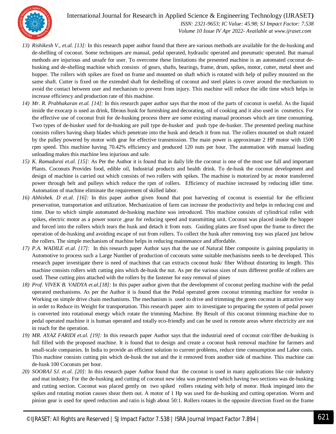

 *ISSN: 2321-9653; IC Value: 45.98; SJ Impact Factor: 7.538 Volume 10 Issue IV Apr 2022- Available at www.ijraset.com*

- *13) Rishikesh V., et.al. [13]:* In this research paper author found that there are various methods are available for the de-husking and de-shelling of coconut. Some techniques are manual, pedal operated, hydraulic operated and pneumatic operated. But manual methods are injurious and unsafe for user. To overcome these limitations the presented machine is an automated coconut dehusking and de-shelling machine which consists of gears, shafts, bearings, frame, drum, spikes, motor, cutter, metal sheet and hopper. The rollers with spikes are fixed on frame and mounted on shaft which is rotated with help of pulley mounted on the same shaft. Cutter is fixed on the extended shaft for deshelling of coconut and steel plates is cover around the mechanism to avoid the contact between user and mechanism to prevent from injury. This machine will reduce the idle time which helps in increase efficiency and production rate of this machine.
- *14) Mr. R. Prabhakaran et.al. [14]:* In this research paper author says that the most of the parts of coconut is useful. As the liquid inside the exocarp is used as drink, fibrous husk for furnishing and decorating, oil of cooking and it also used in cosmetics. For the effective use of coconut fruit for de-husking process there are some existing manual processes which are time consuming. Two types of de-husker used for de-husking are pull type de-husker and push type de-husker. The presented peeling machine consists rollers having sharp blades which penetrate into the husk and detach it from nut. The rollers mounted on shaft rotated by the pulley powered by motor with gear for effective transmission. The main power is approximate 2 HP motor with 1500 rpm speed. This machine having 70.42% efficiency and produced 120 nuts per hour. The automation with manual loading unloading makes this machine less injurious and safe.
- *15) K. Ramadurai et.al. [15]:* As Per the Author it is found that in daily life the coconut is one of the most use full and important Plants. Coconuts Provides food, edible oil, Industrial products and health drink. To de-husk the coconut development and design of machine is carried out which consists of two rollers with spikes. The machine is motorized by ac motor transferred power through belt and pulleys which reduce the rpm of rollers. Efficiency of machine increased by reducing idler time. Automation of machine eliminate the requirement of skilled labor.
- *16) Abhishek. D et.al. [16]:* In this paper author given found that post harvesting of coconut is essential for the efficient preservation, transportation and utilization. Mechanization of farm can increase the productivity and helps in reducing cost and time. Due to which simple automated de-husking machine was introduced. This machine consists of cylindrical roller with spikes, electric motor as a power source ,gear for reducing speed and transmitting unit. Coconut was placed inside the hopper and forced into the rollers which tears the husk and detach it from nuts. Guiding plates are fixed upon the frame to direct the operation of de-husking and avoiding escape of nut from rollers. To collect the husk after removing tray was placed just below the rollers. The simple mechanism of machine helps in reducing maintenance and affordable.
- *17) P.A. WADILE et.al. [17]:* In this research paper Author says that the use of Natural fiber composite is gaining popularity in Automotive to process such a Large Number of production of coconuts some suitable mechanisms needs to be developed. This research paper investigate there is need of machines that can extracts coconut husk/ fiber Without distorting its length. This machine consists rollers with cutting pins which de-husk the nut. As per the various sizes of nuts different profile of rollers are used. These cutting pins attached with the rollers by the fastener for easy removal of pines
- *18) Prof. VIVEK B. VAIDYA et.al.[18]:* In this paper author given that the development of coconut peeling machine with the pedal operated mechanisms. As per the Author it is found that the Pedal operated green coconut trimming machine for vendor is Working on simple drive chain mechanisms. The mechanism is used to drive and trimming the green coconut in attractive way in order to Reduce its Weight for transportation. This research paper aim to investigate to preparing the system of pedal power is converted into rotational energy which rotate the trimming Machine. By Result of this coconut trimming machine due to pedal operated machine it is human operated and totally eco-friendly and can be used in remote areas where electricity are not in reach for the operation.
- *19) MR. AYAZ FARIDI et.al. [19]:* In this research paper Author says that the industrial need of coconut coir/fiber de-husking is full filled with the proposed machine. It is found that to design and create a coconut husk removal machine for farmers and small-scale companies. In India to provide an efficient solution to current problems, reduce time consumption and Labor costs. This machine consists cutting pin which de-husk the nut and the it removed from another side of machine. This machine can de-husk 100 Coconuts per hour.
- *20) SOORAJ SJ. et.al. [20]:* In this research paper Author found that the coconut is used in many applications like coir industry and mat industry. For the de-husking and cutting of coconut new idea was presented which having two sections was de-husking and cutting section. Coconut was placed gently on two spiked rollers rotating with help of motor. Husk impinged into the spikes and rotating motion causes shear them out. A motor of 1 Hp was used for de-husking and cutting operation. Worm and pinion gear is used for speed reduction and ratio is high about 50:1. Rollers rotates in the opposite direction fixed on the frame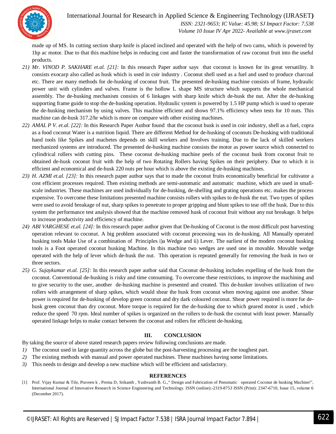

 *ISSN: 2321-9653; IC Value: 45.98; SJ Impact Factor: 7.538 Volume 10 Issue IV Apr 2022- Available at www.ijraset.com*

made up of MS. In cutting section sharp knife is placed inclined and operated with the help of two cams, which is powered by 1hp ac motor. Due to that this machine helps in reducing cost and faster the transformation of raw coconut fruit into the useful products.

- *21) Mr. VINOD P. SAKHARE et.al. [21]:* In this research Paper author says that coconut is known for its great versatility. It consists exocarp also called as husk which is used in coir industry . Coconut shell used as a fuel and used to produce charcoal etc. There are many methods for de-husking of coconut fruit. The presented de-husking machine consists of frame, hydraulic power unit with cylinders and valves. Frame is the hollow L shape MS structure which supports the whole mechanical assembly. The de-husking mechanism consists of 6 linkages with sharp knife which de-husk the nut. After the de-husking supporting frame guide to stop the de-husking operation. Hydraulic system is powered by 1.5 HP pump which is used to operate the de-husking mechanism by using valves. This machine efficient and shows 97.1% efficiency when tests for 10 nuts. This machine can de-husk 317.2/hr which is more on compare with other existing machines.
- *22) AMAL P V. et.al. [22]:* In this Research Paper Author found that the coconut husk is used in coir industry, shell as a fuel, copra as a food coconut Water is a nutrition liquid. There are different Method for de-husking of coconuts De-husking with traditional hand tools like Spikes and machetes depends on skill workers and Involves training. Due to the lack of skilled workers mechanized systems are introduced. The presented de-husking machine consists the motor as power source which connected to cylindrical rollers with cutting pins. These coconut de-husking machine peels of the coconut husk from coconut fruit to obtained de-husk coconut fruit with the help of two Rotating Rollers having Spikes on their periphery. Due to which it is efficient and economical and de-husk 220 nuts per hour which is above the existing de-husking machines.
- *23) H. AZMI et.al. [23]:* In this research paper author says that to made the coconut fruits economically beneficial for cultivator a cost efficient processes required. Then existing methods are semi-automatic and automatic machine, which are used in smallscale industries. These machines are used individually for de-husking, de-shelling and grating operations etc. makes the process expensive. To overcome these limitations presented machine consists rollers with spikes to de-husk the nut. Two types of spikes were used to avoid breakage of nut, sharp spikes to penetrate to proper gripping and blunt spikes to tear off the husk. Due to this system the performance test analysis showed that the machine removed husk of coconut fruit without any nut breakage. It helps to increase productivity and efficiency of machine.
- *24) ABI VARGHESE et.al. [24]:* In this research paper author given that De-husking of Coconut is the most difficult post harvesting operation relevant to coconut. A big problem associated with coconut processing was its de-husking. All Manually operated husking tools Make Use of a combination of Principles i)a Wedge and ii) Lever. The earliest of the modern coconut husking tools is a Foot operated coconut husking Machine. In this machine two wedges are used one in movable. Movable wedge operated with the help of lever which de-husk the nut. This operation is repeated generally for removing the husk in two or three sectors.
- *25) G. Sujaykumar et.al. [25]:* In this research paper author said that Coconut de-husking includes expelling of the husk from the coconut. Conventional de-husking is risky and time consuming. To overcome these restrictions, to improve the machining and to give security to the user, another de-husking machine is presented and created. This de-husker involves utilization of two rollers with arrangement of sharp spikes, which would shear the husk from coconut when moving against one another. Shear power is required for de-husking of develop green coconut and dry dark coloured coconut. Shear power required is more for dehusk green coconut than dry coconut. More torque is required for the de-husking due to which geared motor is used , which reduce the speed 70 rpm. Ideal number of spikes is organized on the rollers to de-husk the coconut with least power. Manually operated linkage helps to make contact between the coconut and rollers for efficient de-husking.

#### **III. CONCLUSION**

By taking the source of above stated research papers review following conclusions are made.

- *1*) The coconut used in large quantity across the globe but the post-harvesting processing are the toughest part.
- *2)* The existing methods with manual and power operated machines. These machines having some limitations.
- *3)* This needs to design and develop a new machine which will be efficient and satisfactory.

#### **REFERENCES**

<sup>[1]</sup> Prof. Vijay Kumar & Tile, Praveen k , Prema D, Srikanth , Yashvanth B. G.," Design and Fabrication of Pneumatic operated Coconut de husking Machine!", International Journal of Innovative Research in Science Engineering and Technology. ISSN (online):-2319-8753 ISSN (Print): 2347-6710, Issue 15, volume 6 (December 2017).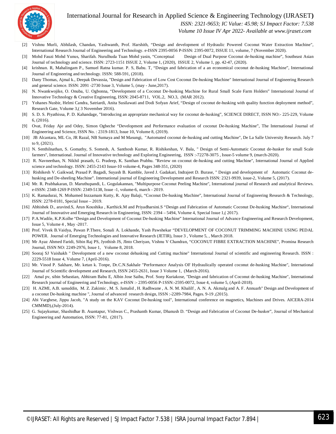

 *ISSN: 2321-9653; IC Value: 45.98; SJ Impact Factor: 7.538*

 *Volume 10 Issue IV Apr 2022- Available at www.ijraset.com*

- [2] Vishnu Murli, Abhilash, Chandan, Yashwanth, Prof. Harshith, "Design and development of Hydraulic Powered Coconut Water Extraction Machine", International Research Journal of Engineering and Technology. e-ISSN 2395-0056 P-ISSN: 2395-0072, ISSUE 11, volume, 7 (November 2020).
- [3] Mohd Fauzi Mohd Yunus, Sharifah. Nurulhuda Tuan Mohd yasin, "Conceptual Design of Dual Purpose Coconut de-husking machine", Southeast Asian Journal of technology and science. ISSN: 2723-1151 ISSUE 2, Volume 1, (2020), ISSUE 2, Volume 1, pp. 42-47, (2020).
- [4] krishnan. R, Mahalingam P., Samuel Ratna kumar. P. S, Babu. T, "Design and fabrication of a an economical coconut de-husking Machine", International Journal of Engineering and technology. ISSN: 588-591, (2018).
- [5] Dany Thomas, Ajmal k., Deepak Devassia, "Design and Fabrication of Low Cost Coconut De-husking Machine" International Journal of Engineering Research and general science. ISSN: 2091 -2730 Issue 3, Volume 5, (may - June,2017).
- [6] N. Nwankwojike, O. Onuba, U. Ogbonna, "Development of a Coconut De-husking Machine for Rural Small Scale Farm Holders" International Journal of Innovative Technology & Creative Engineering, ISSN: 2045-8711, VOL.2, NO.3, (MAR 2012).
- [7] Yohanes Nusbir, Helmi Candra, Satriardi, Anita Susilawati and Dodi Sofyan Arief, "Design of coconut de-husking with quality function deployment method", Research Gate, Volume 3,( 3 November 2016).
- [8] S. D. S. Piyathissa, P. D. Kahandage, "Introducing an appropriate mechanical way for coconut de-husking", SCIENCE DIRECT, ISSN NO:- 225-229, Volume 6, (2016).
- [9] Ovat, Friday Aje and Odey, Simon Ogbeche "Development and Performance evaluation of coconut De-husking Machine", The International Journal of Engineering and Science, ISSN No. : 2319-1813, Issue 10, Volume 8, (2019).
- [10] JB Alcantara, ML Co, JR Razal, NB Sumaya and M Masungi, "Automated coconut de-husking and cutting Machine", De La Salle University Research. July 7 to 9, (2021).
- [11] N. Senthilnathan, S. Gomathy, S. Somesh, A. Santhosh Kumar, R. Rishikeshan, V. Bala, " Design of Semi-Automatic Coconut de-husker for small Scale farmers", International. Journal of Innovative technology and Exploring Engineering, ISSN :-72278-3075 , Issue-5 volume 9, (march-2020).
- [12] R. Navneethan, N. Nikhil prasath, G. Pradeep, K. Santhan Prabhu. "Review on coconut de-husking and cutting Machine", International Journal of Applied science and technology. ISSN: 2455-2143 Issue-10 volume-4, Pages 348-351, (2020)
- [13] Rishikesh V. Gaikwad, Prasad P. Bagadi, Suyash B. Kamble, Javed J. Gadakari, Indrajeet D. Burase, " Design and development of Automatic Coconut dehusking and De-sheeling Machine". International journal of Engineering Development and Research ISSN: 2321-9939, issue-2, Volume 5, (2017).
- [14] Mr. R. Prabhakaran, D. Maruthupandi, L. Gogulakannan, "Multipurpose Coconut Peeling Machine", International journal of Research and analytical Reviews. e-ISSN: 2348-1269 P-ISSN: 2349-5138, Issue -1, volume-6, march - 2019.
- [15] K. Ramadurai, N. Mohamed Inzzamam Kutty, R. Ajay Balaji, "Coconut De-husking Machine", International Journal of Engineering Research & Technology, ISSN: 2278-0181, Special Issue – 2019.
- [16] Abhishek D., aravind.S, Arun Koushika , Karthick.M and Priyadharsini.S "Design and Fabrication of Automatic Coconut De-husking Machine", International Journal of Innovative and Emerging Research in Engineering, ISSN: 2394 – 5494, Volume 4, Special Issue 1,( 2017).
- [17] P.A.Wadile, K.P.Kolhe "Design and Development of Coconut De-husking Machine" International Journal of Advance Engineering and Research Development, Issue 5, Volume 4 , May -2017.
- [18] Prof. Vivek B.Vaidya, Pawan P.There, Sonali A. Lokhande, Yash Pawshekar "DEVELOPMENT OF COCONUT TRIMMING MACHINE USING PEDAL POWER. Journal of Emerging Technologies and Innovative Research (JETIR), Issue 3 , Volume 5, , March 2018.
- [19] Mr Ayaz Ahmed Faridi, Sibin Raj PS, Jyothish JS, JInto Cheriyan, Vishnu V Chandran, "COCONUT FIBRE EXTRACTION MACHINE", Promina Research Journal, ISSN NO: 2249-2976, Issue 1, Volume 8, 2018.
- [20] Sooraj SJ Vaishakh " Development of a new coconut dehusking and Cutting machine" International Journal of scientific and engineering Research. ISSN : 2229-5518 Issue 4, Volume 7, (April-2016).
- [21] Mr. Vinod P. Sakhare, Mr. ketan k. Tonpe, Dr.C.N.Sakhale "Performance Analysis OF Hydraulically operated coconut de-husking Machine", International Journal of Scientific development and Research, ISSN 2455-2631, Issue 3 Volume 1, (March-2016).
- [22] Amal pv, sibin Sebastian, Abhiram Babu E, Albin Jose Saibu, Prof. Sony Kuriakose, "Design and fabrication of Coconut de-husking Machine", International Research journal of Engineering and Technology, e-ISSN :- 2395-0056 P-1SSN:-2595-0072, Issue 4, volume 5, (April-2018).
- [23] H. AZMI, A.B. sanuddin, M. Z. Zakimic , M. S. Jamalid , H. Radhwane , A. N. M. Khalilf , A. N. A. Akmalg and A. F. Annuarh" Design and Development of a coconut De-husking machine ", Journal of advanced research design, ISSN :-2289-7984, Pages. 9-19 ,(2015).
- [24] Abi Varghese, Jippu Jacob, "A study on the KAV Coconut De-husking tool", International conference on magnetics, Machines and Drives. AICERA-2014 CMMMD),(July-2014).
- [25] G. Sujaykumar, Shashidhar B. Asantapur, Vishwas C., Prashanth Kumar, Dhanush D. "Design and Fabrication of Coconut De-husker", Journal of Mechanical Engineering and Automation, ISSN: 77-81, (2017).